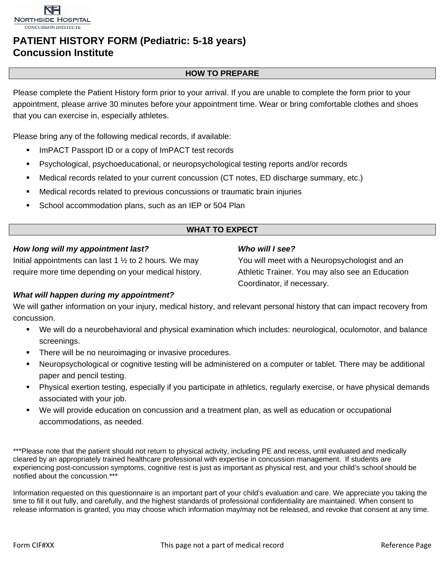

# **PATIENT HISTORY FORM (Pediatric: 5-18 years) Concussion Institute**

#### **HOW TO PREPARE**

Please complete the Patient History form prior to your arrival. If you are unable to complete the form prior to your appointment, please arrive 30 minutes before your appointment time. Wear or bring comfortable clothes and shoes that you can exercise in, especially athletes.

Please bring any of the following medical records, if available:

- **IMPACT Passport ID or a copy of ImPACT test records**
- Psychological, psychoeducational, or neuropsychological testing reports and/or records
- Medical records related to your current concussion (CT notes, ED discharge summary, etc.)
- Medical records related to previous concussions or traumatic brain injuries
- School accommodation plans, such as an IEP or 504 Plan

### **WHAT TO EXPECT**

*Who will I see?*

Coordinator, if necessary.

You will meet with a Neuropsychologist and an Athletic Trainer. You may also see an Education

#### *How long will my appointment last?*

Initial appointments can last 1  $\frac{1}{2}$  to 2 hours. We may require more time depending on your medical history.

### *What will happen during my appointment?*

We will gather information on your injury, medical history, and relevant personal history that can impact recovery from concussion.

- We will do a neurobehavioral and physical examination which includes: neurological, oculomotor, and balance screenings.
- There will be no neuroimaging or invasive procedures.
- Neuropsychological or cognitive testing will be administered on a computer or tablet. There may be additional paper and pencil testing.
- Physical exertion testing, especially if you participate in athletics, regularly exercise, or have physical demands associated with your job.
- We will provide education on concussion and a treatment plan, as well as education or occupational accommodations, as needed.

\*\*\*Please note that the patient should not return to physical activity, including PE and recess, until evaluated and medically cleared by an appropriately trained healthcare professional with expertise in concussion management. If students are experiencing post-concussion symptoms, cognitive rest is just as important as physical rest, and your child's school should be notified about the concussion.\*\*

Information requested on this questionnaire is an important part of your child's evaluation and care. We appreciate you taking the time to fill it out fully, and carefully, and the highest standards of professional confidentiality are maintained. When consent to release information is granted, you may choose which information may/may not be released, and revoke that consent at any time.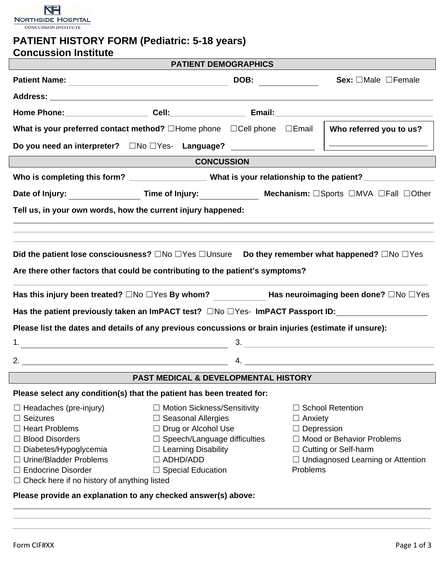

# **PATIENT HISTORY FORM (Pediatric: 5-18 years) Concussion Institute**

|                                                                                                                                                                                                                                                                                                                                                                                                                                                                                                                                                             | <b>PATIENT DEMOGRAPHICS</b>                                                                                                                                                           |  |                                                                                 |                                                                                                                       |  |  |  |
|-------------------------------------------------------------------------------------------------------------------------------------------------------------------------------------------------------------------------------------------------------------------------------------------------------------------------------------------------------------------------------------------------------------------------------------------------------------------------------------------------------------------------------------------------------------|---------------------------------------------------------------------------------------------------------------------------------------------------------------------------------------|--|---------------------------------------------------------------------------------|-----------------------------------------------------------------------------------------------------------------------|--|--|--|
|                                                                                                                                                                                                                                                                                                                                                                                                                                                                                                                                                             |                                                                                                                                                                                       |  |                                                                                 | Sex: $\Box$ Male $\Box$ Female                                                                                        |  |  |  |
|                                                                                                                                                                                                                                                                                                                                                                                                                                                                                                                                                             |                                                                                                                                                                                       |  |                                                                                 |                                                                                                                       |  |  |  |
|                                                                                                                                                                                                                                                                                                                                                                                                                                                                                                                                                             |                                                                                                                                                                                       |  |                                                                                 |                                                                                                                       |  |  |  |
| What is your preferred contact method? $\square$ Home phone $\square$ Cell phone $\square$ Email                                                                                                                                                                                                                                                                                                                                                                                                                                                            |                                                                                                                                                                                       |  |                                                                                 | Who referred you to us?                                                                                               |  |  |  |
|                                                                                                                                                                                                                                                                                                                                                                                                                                                                                                                                                             |                                                                                                                                                                                       |  |                                                                                 | <u> Linda a componente de la componenta de la componenta de la componenta de la componenta de la componenta de la</u> |  |  |  |
| <b>CONCUSSION</b>                                                                                                                                                                                                                                                                                                                                                                                                                                                                                                                                           |                                                                                                                                                                                       |  |                                                                                 |                                                                                                                       |  |  |  |
|                                                                                                                                                                                                                                                                                                                                                                                                                                                                                                                                                             |                                                                                                                                                                                       |  |                                                                                 |                                                                                                                       |  |  |  |
|                                                                                                                                                                                                                                                                                                                                                                                                                                                                                                                                                             | Date of Injury: ______________________Time of Injury: __________________________ Mechanism: □Sports □MVA □Fall □Other                                                                 |  |                                                                                 |                                                                                                                       |  |  |  |
| Tell us, in your own words, how the current injury happened:                                                                                                                                                                                                                                                                                                                                                                                                                                                                                                |                                                                                                                                                                                       |  |                                                                                 |                                                                                                                       |  |  |  |
|                                                                                                                                                                                                                                                                                                                                                                                                                                                                                                                                                             |                                                                                                                                                                                       |  |                                                                                 |                                                                                                                       |  |  |  |
| Did the patient lose consciousness? $\Box$ No $\Box$ Yes $\Box$ Unsure Do they remember what happened? $\Box$ No $\Box$ Yes<br>Are there other factors that could be contributing to the patient's symptoms?<br>Has this injury been treated? $\square$ No $\square$ Yes By whom? Has neuroimaging been done? $\square$ No $\square$ Yes<br>Has the patient previously taken an ImPACT test? $\square$ No $\square$ Yes- ImPACT Passport ID:<br>Please list the dates and details of any previous concussions or brain injuries (estimate if unsure):<br>3. |                                                                                                                                                                                       |  |                                                                                 |                                                                                                                       |  |  |  |
| <b>PAST MEDICAL &amp; DEVELOPMENTAL HISTORY</b>                                                                                                                                                                                                                                                                                                                                                                                                                                                                                                             |                                                                                                                                                                                       |  |                                                                                 |                                                                                                                       |  |  |  |
| Please select any condition(s) that the patient has been treated for:                                                                                                                                                                                                                                                                                                                                                                                                                                                                                       |                                                                                                                                                                                       |  |                                                                                 |                                                                                                                       |  |  |  |
| $\Box$ Headaches (pre-injury)<br>$\Box$ Seizures<br>$\Box$ Heart Problems<br>$\Box$ Blood Disorders<br>□ Diabetes/Hypoglycemia<br>□ Urine/Bladder Problems<br><b>Endocrine Disorder</b>                                                                                                                                                                                                                                                                                                                                                                     | $\Box$ Motion Sickness/Sensitivity<br>$\Box$ Seasonal Allergies<br>$\Box$ Drug or Alcohol Use<br>$\Box$ Speech/Language difficulties<br>$\Box$ Learning Disability<br>$\Box$ ADHD/ADD |  | $\Box$ Anxiety<br>$\Box$ Depression<br>$\Box$ Undiagnosed Learning or Attention | <b>School Retention</b><br>□ Mood or Behavior Problems<br>$\Box$ Cutting or Self-harm                                 |  |  |  |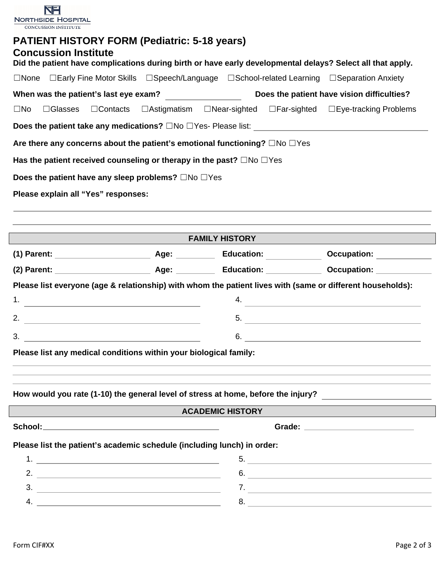| <b>NORTHSIDE HOSPITAL</b>                                                                                                                                                                        |                                                           |                       |                                                   |
|--------------------------------------------------------------------------------------------------------------------------------------------------------------------------------------------------|-----------------------------------------------------------|-----------------------|---------------------------------------------------|
| <b>CONCUSSION INSTITUTE</b>                                                                                                                                                                      |                                                           |                       |                                                   |
| <b>PATIENT HISTORY FORM (Pediatric: 5-18 years)</b><br><b>Concussion Institute</b><br>Did the patient have complications during birth or have early developmental delays? Select all that apply. |                                                           |                       |                                                   |
| □None □Early Fine Motor Skills □Speech/Language □School-related Learning □Separation Anxiety                                                                                                     |                                                           |                       |                                                   |
| When was the patient's last eye exam?                                                                                                                                                            |                                                           |                       | Does the patient have vision difficulties?        |
| $\Box$ Contacts<br>$\Box$ Glasses<br>$\square$ No                                                                                                                                                | $\Box$ Astigmatism $\Box$ Near-sighted $\Box$ Far-sighted |                       | □Eye-tracking Problems                            |
|                                                                                                                                                                                                  |                                                           |                       |                                                   |
| Are there any concerns about the patient's emotional functioning? □No □Yes                                                                                                                       |                                                           |                       |                                                   |
| Has the patient received counseling or therapy in the past? $\square$ No $\square$ Yes                                                                                                           |                                                           |                       |                                                   |
| Does the patient have any sleep problems? $\square$ No $\square$ Yes                                                                                                                             |                                                           |                       |                                                   |
| Please explain all "Yes" responses:                                                                                                                                                              |                                                           |                       |                                                   |
|                                                                                                                                                                                                  |                                                           |                       |                                                   |
|                                                                                                                                                                                                  |                                                           | <b>FAMILY HISTORY</b> |                                                   |
|                                                                                                                                                                                                  |                                                           |                       |                                                   |
|                                                                                                                                                                                                  |                                                           |                       |                                                   |
| Please list everyone (age & relationship) with whom the patient lives with (same or different households):                                                                                       |                                                           |                       |                                                   |
| 1.                                                                                                                                                                                               |                                                           | 4.                    |                                                   |
| <u> 1980 - Johann Barn, amerikan bestemannten bestemannten bestemannten bestemannten bestemannten bestemannten b</u><br>2.                                                                       |                                                           | 5.                    | <u> 1980 - Jan James, Amerikaansk politiker (</u> |
| $\overline{\mathbf{3}}$ .                                                                                                                                                                        |                                                           |                       | 6.                                                |
| Please list any medical conditions within your biological family:                                                                                                                                |                                                           |                       |                                                   |
|                                                                                                                                                                                                  |                                                           |                       |                                                   |
| How would you rate (1-10) the general level of stress at home, before the injury?                                                                                                                |                                                           |                       |                                                   |
|                                                                                                                                                                                                  | <b>ACADEMIC HISTORY</b>                                   |                       |                                                   |
|                                                                                                                                                                                                  |                                                           |                       |                                                   |
| Please list the patient's academic schedule (including lunch) in order:                                                                                                                          |                                                           |                       |                                                   |

 $\label{eq:2.1} \frac{1}{\sqrt{2}}\left(\frac{1}{\sqrt{2}}\right)^{2} \left(\frac{1}{\sqrt{2}}\right)^{2} \left(\frac{1}{\sqrt{2}}\right)^{2} \left(\frac{1}{\sqrt{2}}\right)^{2} \left(\frac{1}{\sqrt{2}}\right)^{2} \left(\frac{1}{\sqrt{2}}\right)^{2} \left(\frac{1}{\sqrt{2}}\right)^{2} \left(\frac{1}{\sqrt{2}}\right)^{2} \left(\frac{1}{\sqrt{2}}\right)^{2} \left(\frac{1}{\sqrt{2}}\right)^{2} \left(\frac{1}{\sqrt{2}}\right)^{2} \left(\$  $\label{eq:2} \frac{1}{\sqrt{2}}\left(\frac{1}{\sqrt{2}}\right)^{2} \left(\frac{1}{\sqrt{2}}\right)^{2} \left(\frac{1}{\sqrt{2}}\right)^{2} \left(\frac{1}{\sqrt{2}}\right)^{2} \left(\frac{1}{\sqrt{2}}\right)^{2} \left(\frac{1}{\sqrt{2}}\right)^{2} \left(\frac{1}{\sqrt{2}}\right)^{2} \left(\frac{1}{\sqrt{2}}\right)^{2} \left(\frac{1}{\sqrt{2}}\right)^{2} \left(\frac{1}{\sqrt{2}}\right)^{2} \left(\frac{1}{\sqrt{2}}\right)^{2} \left(\frac{$